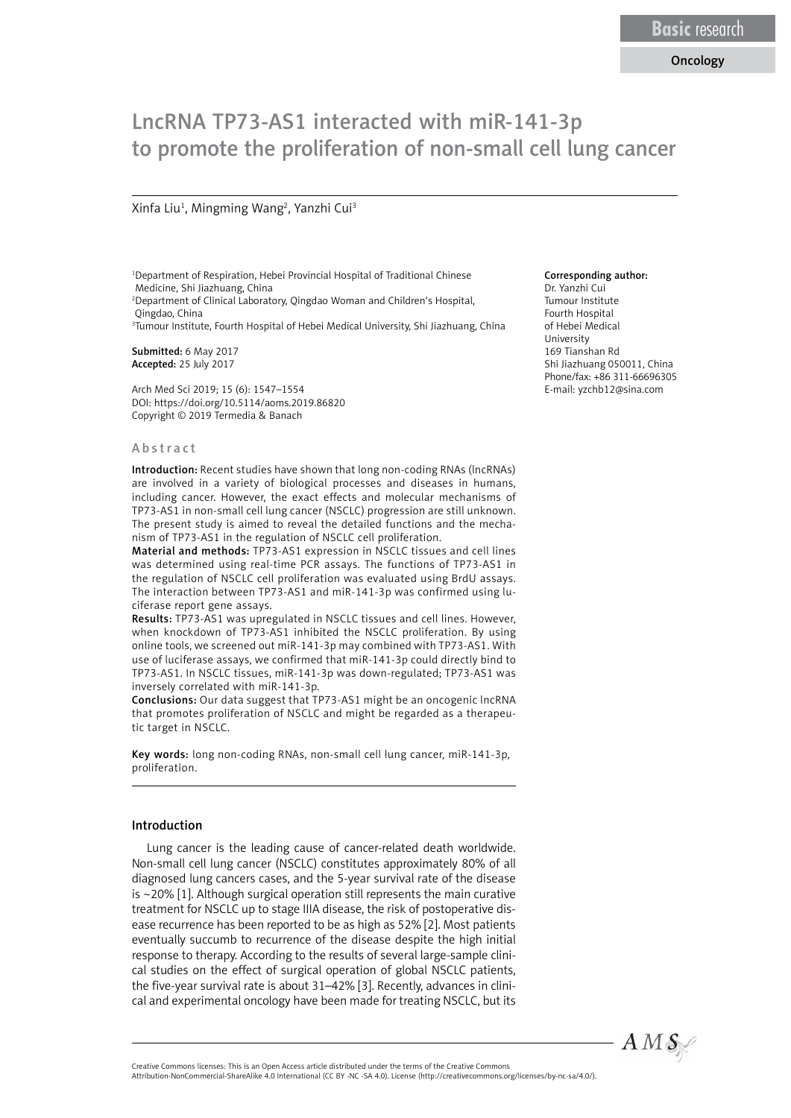## Oncology

# LncRNA TP73-AS1 interacted with miR-141-3p to promote the proliferation of non-small cell lung cancer

#### Xinfa Liu<sup>1</sup>, Mingming Wang<sup>2</sup>, Yanzhi Cui<sup>3</sup>

1 Department of Respiration, Hebei Provincial Hospital of Traditional Chinese Medicine, Shi Jiazhuang, China 2 Department of Clinical Laboratory, Qingdao Woman and Children's Hospital, Qingdao, China 3 Tumour Institute, Fourth Hospital of Hebei Medical University, Shi Jiazhuang, China

Submitted: 6 May 2017 Accepted: 25 July 2017

Arch Med Sci 2019; 15 (6): 1547–1554 DOI: https://doi.org/10.5114/aoms.2019.86820 Copyright © 2019 Termedia & Banach

#### Abstract

Introduction: Recent studies have shown that long non-coding RNAs (lncRNAs) are involved in a variety of biological processes and diseases in humans, including cancer. However, the exact effects and molecular mechanisms of TP73-AS1 in non-small cell lung cancer (NSCLC) progression are still unknown. The present study is aimed to reveal the detailed functions and the mechanism of TP73-AS1 in the regulation of NSCLC cell proliferation.

Material and methods: TP73-AS1 expression in NSCLC tissues and cell lines was determined using real-time PCR assays. The functions of TP73-AS1 in the regulation of NSCLC cell proliferation was evaluated using BrdU assays. The interaction between TP73-AS1 and miR-141-3p was confirmed using luciferase report gene assays.

Results: TP73-AS1 was upregulated in NSCLC tissues and cell lines. However, when knockdown of TP73-AS1 inhibited the NSCLC proliferation. By using online tools, we screened out miR-141-3p may combined with TP73-AS1. With use of luciferase assays, we confirmed that miR-141-3p could directly bind to TP73-AS1. In NSCLC tissues, miR-141-3p was down-regulated; TP73-AS1 was inversely correlated with miR-141-3p.

Conclusions: Our data suggest that TP73-AS1 might be an oncogenic lncRNA that promotes proliferation of NSCLC and might be regarded as a therapeutic target in NSCLC.

Key words: long non-coding RNAs, non-small cell lung cancer, miR-141-3p, proliferation.

## Introduction

Lung cancer is the leading cause of cancer-related death worldwide. Non-small cell lung cancer (NSCLC) constitutes approximately 80% of all diagnosed lung cancers cases, and the 5-year survival rate of the disease is ~20% [1]. Although surgical operation still represents the main curative treatment for NSCLC up to stage IIIA disease, the risk of postoperative disease recurrence has been reported to be as high as 52% [2]. Most patients eventually succumb to recurrence of the disease despite the high initial response to therapy. According to the results of several large-sample clinical studies on the effect of surgical operation of global NSCLC patients, the five-year survival rate is about 31–42% [3]. Recently, advances in clinical and experimental oncology have been made for treating NSCLC, but its

### Corresponding author:

Dr. Yanzhi Cui Tumour Institute Fourth Hospital of Hebei Medical University 169 Tianshan Rd Shi Jiazhuang 050011, China Phone/fax: +86 311-66696305 E-mail: yzchb12@sina.com



Attribution-NonCommercial-ShareAlike 4.0 International (CC BY -NC -SA 4.0). License (http://creativecommons.org/licenses/by-nc-sa/4.0/).

Creative Commons licenses: This is an Open Access article distributed under the terms of the Creative Commons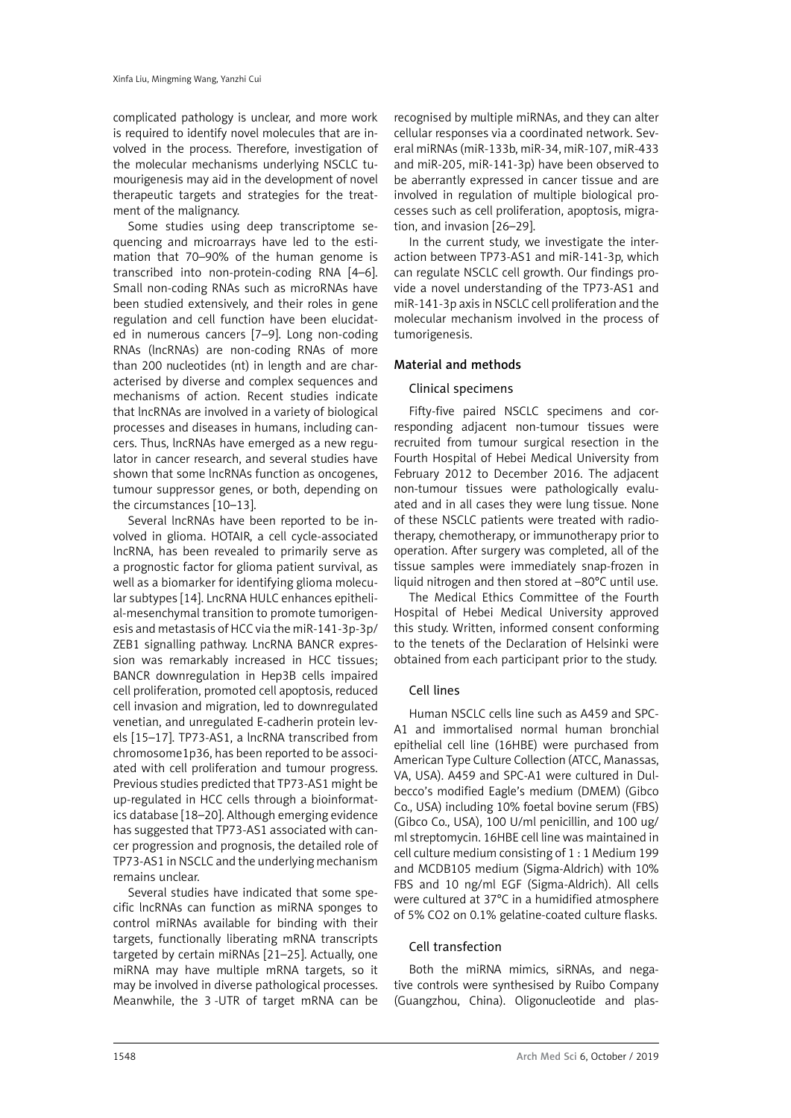complicated pathology is unclear, and more work is required to identify novel molecules that are involved in the process. Therefore, investigation of the molecular mechanisms underlying NSCLC tumourigenesis may aid in the development of novel therapeutic targets and strategies for the treatment of the malignancy.

Some studies using deep transcriptome sequencing and microarrays have led to the estimation that 70–90% of the human genome is transcribed into non-protein-coding RNA [4–6]. Small non-coding RNAs such as microRNAs have been studied extensively, and their roles in gene regulation and cell function have been elucidated in numerous cancers [7–9]. Long non-coding RNAs (lncRNAs) are non-coding RNAs of more than 200 nucleotides (nt) in length and are characterised by diverse and complex sequences and mechanisms of action. Recent studies indicate that lncRNAs are involved in a variety of biological processes and diseases in humans, including cancers. Thus, lncRNAs have emerged as a new regulator in cancer research, and several studies have shown that some lncRNAs function as oncogenes, tumour suppressor genes, or both, depending on the circumstances [10–13].

Several lncRNAs have been reported to be involved in glioma. HOTAIR, a cell cycle-associated lncRNA, has been revealed to primarily serve as a prognostic factor for glioma patient survival, as well as a biomarker for identifying glioma molecular subtypes [14]. LncRNA HULC enhances epithelial-mesenchymal transition to promote tumorigenesis and metastasis of HCC via the miR-141-3p-3p/ ZEB1 signalling pathway. LncRNA BANCR expression was remarkably increased in HCC tissues; BANCR downregulation in Hep3B cells impaired cell proliferation, promoted cell apoptosis, reduced cell invasion and migration, led to downregulated venetian, and unregulated E-cadherin protein levels [15–17]. TP73-AS1, a lncRNA transcribed from chromosome1p36, has been reported to be associated with cell proliferation and tumour progress. Previous studies predicted that TP73-AS1 might be up-regulated in HCC cells through a bioinformatics database [18–20]. Although emerging evidence has suggested that TP73-AS1 associated with cancer progression and prognosis, the detailed role of TP73-AS1 in NSCLC and the underlying mechanism remains unclear.

Several studies have indicated that some specific lncRNAs can function as miRNA sponges to control miRNAs available for binding with their targets, functionally liberating mRNA transcripts targeted by certain miRNAs [21–25]. Actually, one miRNA may have multiple mRNA targets, so it may be involved in diverse pathological processes. Meanwhile, the 3-UTR of target mRNA can be

recognised by multiple miRNAs, and they can alter cellular responses via a coordinated network. Several miRNAs (miR-133b, miR-34, miR-107, miR-433 and miR-205, miR-141-3p) have been observed to be aberrantly expressed in cancer tissue and are involved in regulation of multiple biological processes such as cell proliferation, apoptosis, migration, and invasion [26–29].

In the current study, we investigate the interaction between TP73-AS1 and miR-141-3p, which can regulate NSCLC cell growth. Our findings provide a novel understanding of the TP73-AS1 and miR-141-3p axis in NSCLC cell proliferation and the molecular mechanism involved in the process of tumorigenesis.

# Material and methods

## Clinical specimens

Fifty-five paired NSCLC specimens and corresponding adjacent non-tumour tissues were recruited from tumour surgical resection in the Fourth Hospital of Hebei Medical University from February 2012 to December 2016. The adjacent non-tumour tissues were pathologically evaluated and in all cases they were lung tissue. None of these NSCLC patients were treated with radiotherapy, chemotherapy, or immunotherapy prior to operation. After surgery was completed, all of the tissue samples were immediately snap-frozen in liquid nitrogen and then stored at –80°C until use.

The Medical Ethics Committee of the Fourth Hospital of Hebei Medical University approved this study. Written, informed consent conforming to the tenets of the Declaration of Helsinki were obtained from each participant prior to the study.

# Cell lines

Human NSCLC cells line such as A459 and SPC-A1 and immortalised normal human bronchial epithelial cell line (16HBE) were purchased from American Type Culture Collection (ATCC, Manassas, VA, USA). A459 and SPC-A1 were cultured in Dulbecco's modified Eagle's medium (DMEM) (Gibco Co., USA) including 10% foetal bovine serum (FBS) (Gibco Co., USA), 100 U/ml penicillin, and 100 ug/ ml streptomycin. 16HBE cell line was maintained in cell culture medium consisting of 1 : 1 Medium 199 and MCDB105 medium (Sigma-Aldrich) with 10% FBS and 10 ng/ml EGF (Sigma-Aldrich). All cells were cultured at 37°C in a humidified atmosphere of 5% CO2 on 0.1% gelatine-coated culture flasks.

## Cell transfection

Both the miRNA mimics, siRNAs, and negative controls were synthesised by Ruibo Company (Guangzhou, China). Oligonucleotide and plas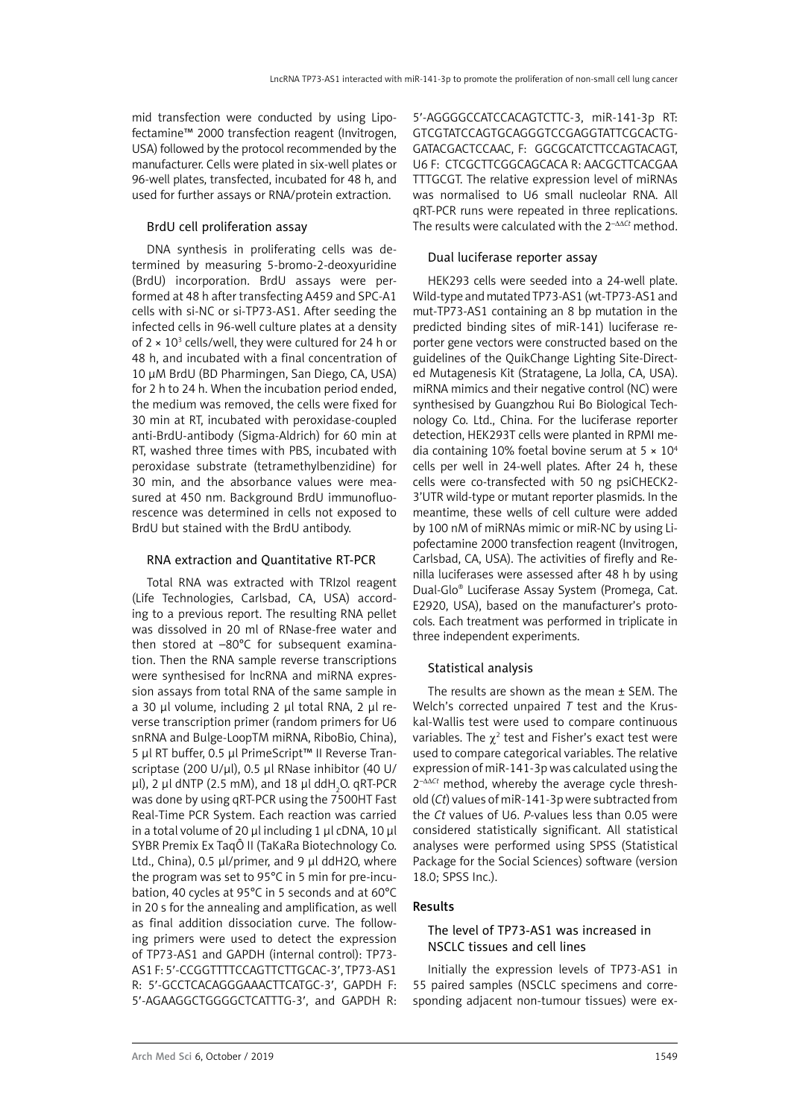mid transfection were conducted by using Lipofectamine™ 2000 transfection reagent (Invitrogen, USA) followed by the protocol recommended by the manufacturer. Cells were plated in six-well plates or 96-well plates, transfected, incubated for 48 h, and used for further assays or RNA/protein extraction.

# BrdU cell proliferation assay

DNA synthesis in proliferating cells was determined by measuring 5-bromo-2-deoxyuridine (BrdU) incorporation. BrdU assays were performed at 48 h after transfecting A459 and SPC-A1 cells with si-NC or si-TP73-AS1. After seeding the infected cells in 96-well culture plates at a density of 2  $\times$  10<sup>3</sup> cells/well, they were cultured for 24 h or 48 h, and incubated with a final concentration of 10 μM BrdU (BD Pharmingen, San Diego, CA, USA) for 2 h to 24 h. When the incubation period ended, the medium was removed, the cells were fixed for 30 min at RT, incubated with peroxidase-coupled anti-BrdU-antibody (Sigma-Aldrich) for 60 min at RT, washed three times with PBS, incubated with peroxidase substrate (tetramethylbenzidine) for 30 min, and the absorbance values were measured at 450 nm. Background BrdU immunofluorescence was determined in cells not exposed to BrdU but stained with the BrdU antibody.

## RNA extraction and Quantitative RT-PCR

Total RNA was extracted with TRIzol reagent (Life Technologies, Carlsbad, CA, USA) according to a previous report. The resulting RNA pellet was dissolved in 20 ml of RNase-free water and then stored at –80°C for subsequent examination. Then the RNA sample reverse transcriptions were synthesised for lncRNA and miRNA expression assays from total RNA of the same sample in a 30 μl volume, including 2 μl total RNA, 2 μl reverse transcription primer (random primers for U6 snRNA and Bulge-LoopTM miRNA, RiboBio, China), 5 μl RT buffer, 0.5 μl PrimeScript™ II Reverse Transcriptase (200 U/μl), 0.5 μl RNase inhibitor (40 U/ μl), 2 μl dNTP (2.5 mM), and 18 μl ddH $_{\rm 2}$ O. qRT-PCR was done by using qRT-PCR using the 7500HT Fast Real-Time PCR System. Each reaction was carried in a total volume of 20 μl including 1 μl cDNA, 10 μl SYBR Premix Ex TaqÔ II (TaKaRa Biotechnology Co. Ltd., China), 0.5 μl/primer, and 9 μl ddH2O, where the program was set to 95°C in 5 min for pre-incubation, 40 cycles at 95°C in 5 seconds and at 60°C in 20 s for the annealing and amplification, as well as final addition dissociation curve. The following primers were used to detect the expression of TP73-AS1 and GAPDH (internal control): TP73- AS1 F: 5′-CCGGTTTTCCAGTTCTTGCAC-3′, TP73-AS1 R: 5′-GCCTCACAGGGAAACTTCATGC-3′, GAPDH F: 5′-AGAAGGCTGGGGCTCATTTG-3′, and GAPDH R:

5′-AGGGGCCATCCACAGTCTTC-3, miR-141-3p RT: GTCGTATCCAGTGCAGGGTCCGAGGTATTCGCACTG-GATACGACTCCAAC, F: GGCGCATCTTCCAGTACAGT, U6 F: CTCGCTTCGGCAGCACA R: AACGCTTCACGAA TTTGCGT. The relative expression level of miRNAs was normalised to U6 small nucleolar RNA. All qRT-PCR runs were repeated in three replications. The results were calculated with the 2–ΔΔ*Ct* method.

# Dual luciferase reporter assay

HEK293 cells were seeded into a 24-well plate. Wild-type and mutated TP73-AS1 (wt-TP73-AS1 and mut-TP73-AS1 containing an 8 bp mutation in the predicted binding sites of miR-141) luciferase reporter gene vectors were constructed based on the guidelines of the QuikChange Lighting Site-Directed Mutagenesis Kit (Stratagene, La Jolla, CA, USA). miRNA mimics and their negative control (NC) were synthesised by Guangzhou Rui Bo Biological Technology Co. Ltd., China. For the luciferase reporter detection, HEK293T cells were planted in RPMI media containing 10% foetal bovine serum at  $5 \times 10^4$ cells per well in 24-well plates. After 24 h, these cells were co-transfected with 50 ng psiCHECK2- 3'UTR wild-type or mutant reporter plasmids. In the meantime, these wells of cell culture were added by 100 nM of miRNAs mimic or miR-NC by using Lipofectamine 2000 transfection reagent (Invitrogen, Carlsbad, CA, USA). The activities of firefly and Renilla luciferases were assessed after 48 h by using Dual-Glo® Luciferase Assay System (Promega, Cat. E2920, USA), based on the manufacturer's protocols. Each treatment was performed in triplicate in three independent experiments.

# Statistical analysis

The results are shown as the mean ± SEM. The Welch's corrected unpaired *T* test and the Kruskal-Wallis test were used to compare continuous variables. The  $\chi^2$  test and Fisher's exact test were used to compare categorical variables. The relative expression of miR-141-3p was calculated using the 2–ΔΔ*Ct* method, whereby the average cycle threshold (*Ct*) values of miR-141-3p were subtracted from the *Ct* values of U6. *P*-values less than 0.05 were considered statistically significant. All statistical analyses were performed using SPSS (Statistical Package for the Social Sciences) software (version 18.0; SPSS Inc.).

# Results

## The level of TP73-AS1 was increased in NSCLC tissues and cell lines

Initially the expression levels of TP73-AS1 in 55 paired samples (NSCLC specimens and corresponding adjacent non-tumour tissues) were ex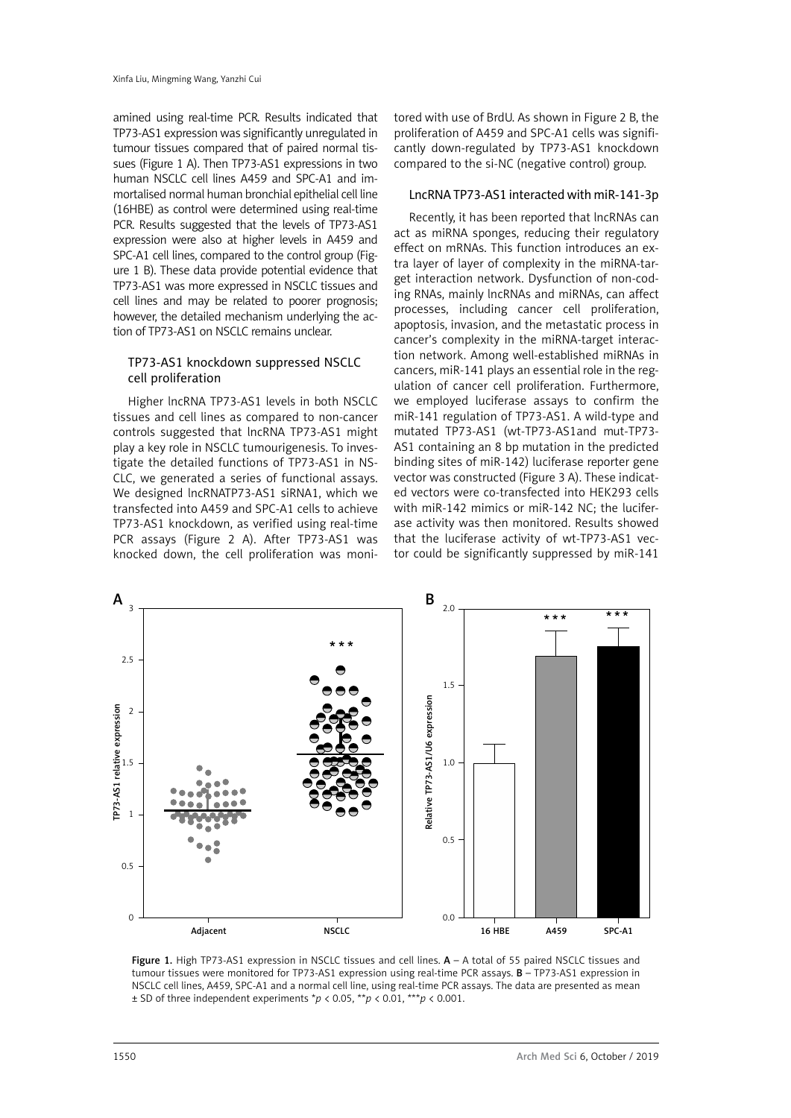amined using real-time PCR. Results indicated that TP73-AS1 expression was significantly unregulated in tumour tissues compared that of paired normal tissues (Figure 1 A). Then TP73-AS1 expressions in two human NSCLC cell lines A459 and SPC-A1 and immortalised normal human bronchial epithelial cell line (16HBE) as control were determined using real-time PCR. Results suggested that the levels of TP73-AS1 expression were also at higher levels in A459 and SPC-A1 cell lines, compared to the control group (Figure 1 B). These data provide potential evidence that TP73-AS1 was more expressed in NSCLC tissues and cell lines and may be related to poorer prognosis; however, the detailed mechanism underlying the action of TP73-AS1 on NSCLC remains unclear.

## TP73-AS1 knockdown suppressed NSCLC cell proliferation

Higher lncRNA TP73-AS1 levels in both NSCLC tissues and cell lines as compared to non-cancer controls suggested that lncRNA TP73-AS1 might play a key role in NSCLC tumourigenesis. To investigate the detailed functions of TP73-AS1 in NS-CLC, we generated a series of functional assays. We designed lncRNATP73-AS1 siRNA1, which we transfected into A459 and SPC-A1 cells to achieve TP73-AS1 knockdown, as verified using real-time PCR assays (Figure 2 A). After TP73-AS1 was knocked down, the cell proliferation was monitored with use of BrdU. As shown in Figure 2 B, the proliferation of A459 and SPC-A1 cells was significantly down-regulated by TP73-AS1 knockdown compared to the si-NC (negative control) group.

## LncRNA TP73-AS1 interacted with miR-141-3p

Recently, it has been reported that lncRNAs can act as miRNA sponges, reducing their regulatory effect on mRNAs. This function introduces an extra layer of layer of complexity in the miRNA-target interaction network. Dysfunction of non-coding RNAs, mainly lncRNAs and miRNAs, can affect processes, including cancer cell proliferation, apoptosis, invasion, and the metastatic process in cancer's complexity in the miRNA-target interaction network. Among well-established miRNAs in cancers, miR-141 plays an essential role in the regulation of cancer cell proliferation. Furthermore, we employed luciferase assays to confirm the miR-141 regulation of TP73-AS1. A wild-type and mutated TP73-AS1 (wt-TP73-AS1and mut-TP73- AS1 containing an 8 bp mutation in the predicted binding sites of miR-142) luciferase reporter gene vector was constructed (Figure 3 A). These indicated vectors were co-transfected into HEK293 cells with miR-142 mimics or miR-142 NC; the luciferase activity was then monitored. Results showed that the luciferase activity of wt-TP73-AS1 vector could be significantly suppressed by miR-141



Figure 1. High TP73-AS1 expression in NSCLC tissues and cell lines. A - A total of 55 paired NSCLC tissues and tumour tissues were monitored for TP73-AS1 expression using real-time PCR assays. **B** - TP73-AS1 expression in NSCLC cell lines, A459, SPC-A1 and a normal cell line, using real-time PCR assays. The data are presented as mean ± SD of three independent experiments \**p* < 0.05, \*\**p* < 0.01, \*\*\**p* < 0.001.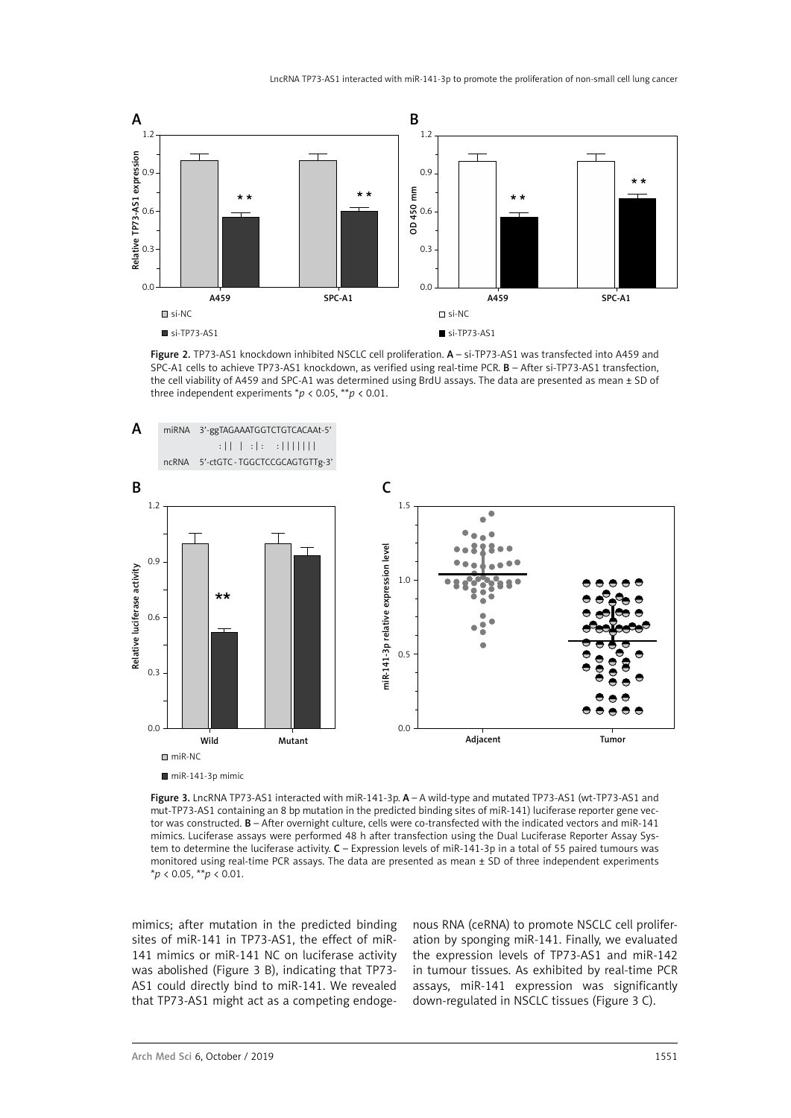

Figure 2. TP73-AS1 knockdown inhibited NSCLC cell proliferation. A - si-TP73-AS1 was transfected into A459 and SPC-A1 cells to achieve TP73-AS1 knockdown, as verified using real-time PCR. B – After si-TP73-AS1 transfection, the cell viability of A459 and SPC-A1 was determined using BrdU assays. The data are presented as mean ± SD of three independent experiments \**p* < 0.05, \*\**p* < 0.01.



Figure 3. LncRNA TP73-AS1 interacted with miR-141-3p.  $A - A$  wild-type and mutated TP73-AS1 (wt-TP73-AS1 and mut-TP73-AS1 containing an 8 bp mutation in the predicted binding sites of miR-141) luciferase reporter gene vector was constructed. **B** – After overnight culture, cells were co-transfected with the indicated vectors and miR-141 mimics. Luciferase assays were performed 48 h after transfection using the Dual Luciferase Reporter Assay System to determine the luciferase activity. C – Expression levels of miR-141-3p in a total of 55 paired tumours was monitored using real-time PCR assays. The data are presented as mean  $\pm$  SD of three independent experiments \**p* < 0.05, \*\**p* < 0.01.

mimics; after mutation in the predicted binding sites of miR-141 in TP73-AS1, the effect of miR-141 mimics or miR-141 NC on luciferase activity was abolished (Figure 3 B), indicating that TP73- AS1 could directly bind to miR-141. We revealed that TP73-AS1 might act as a competing endogenous RNA (ceRNA) to promote NSCLC cell proliferation by sponging miR-141. Finally, we evaluated the expression levels of TP73-AS1 and miR-142 in tumour tissues. As exhibited by real-time PCR assays, miR-141 expression was significantly down-regulated in NSCLC tissues (Figure 3 C).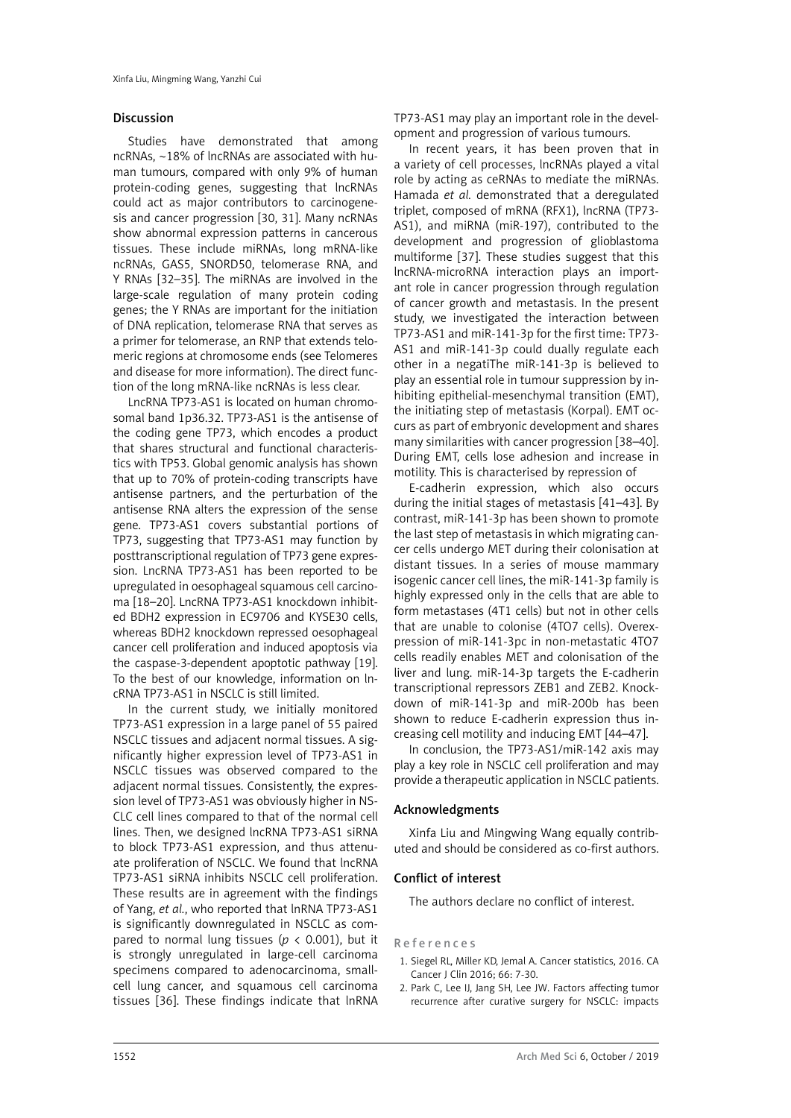### Discussion

Studies have demonstrated that among ncRNAs, ~18% of lncRNAs are associated with human tumours, compared with only 9% of human protein-coding genes, suggesting that lncRNAs could act as major contributors to carcinogenesis and cancer progression [30, 31]. Many ncRNAs show abnormal expression patterns in cancerous tissues. These include miRNAs, long mRNA-like ncRNAs, GAS5, SNORD50, telomerase RNA, and Y RNAs [32–35]. The miRNAs are involved in the large-scale regulation of many protein coding genes; the Y RNAs are important for the initiation of DNA replication, telomerase RNA that serves as a primer for telomerase, an RNP that extends telomeric regions at chromosome ends (see Telomeres and disease for more information). The direct function of the long mRNA-like ncRNAs is less clear.

LncRNA TP73-AS1 is located on human chromosomal band 1p36.32. TP73-AS1 is the antisense of the coding gene TP73, which encodes a product that shares structural and functional characteristics with TP53. Global genomic analysis has shown that up to 70% of protein-coding transcripts have antisense partners, and the perturbation of the antisense RNA alters the expression of the sense gene. TP73-AS1 covers substantial portions of TP73, suggesting that TP73-AS1 may function by posttranscriptional regulation of TP73 gene expression. LncRNA TP73-AS1 has been reported to be upregulated in oesophageal squamous cell carcinoma [18–20]. LncRNA TP73-AS1 knockdown inhibited BDH2 expression in EC9706 and KYSE30 cells, whereas BDH2 knockdown repressed oesophageal cancer cell proliferation and induced apoptosis via the caspase-3-dependent apoptotic pathway [19]. To the best of our knowledge, information on lncRNA TP73-AS1 in NSCLC is still limited.

In the current study, we initially monitored TP73-AS1 expression in a large panel of 55 paired NSCLC tissues and adjacent normal tissues. A significantly higher expression level of TP73-AS1 in NSCLC tissues was observed compared to the adjacent normal tissues. Consistently, the expression level of TP73-AS1 was obviously higher in NS-CLC cell lines compared to that of the normal cell lines. Then, we designed lncRNA TP73-AS1 siRNA to block TP73-AS1 expression, and thus attenuate proliferation of NSCLC. We found that lncRNA TP73-AS1 siRNA inhibits NSCLC cell proliferation. These results are in agreement with the findings of Yang, *et al.*, who reported that lnRNA TP73-AS1 is significantly downregulated in NSCLC as compared to normal lung tissues ( $p < 0.001$ ), but it is strongly unregulated in large-cell carcinoma specimens compared to adenocarcinoma, smallcell lung cancer, and squamous cell carcinoma tissues [36]. These findings indicate that lnRNA

TP73-AS1 may play an important role in the development and progression of various tumours.

In recent years, it has been proven that in a variety of cell processes, lncRNAs played a vital role by acting as ceRNAs to mediate the miRNAs. Hamada *et al.* demonstrated that a deregulated triplet, composed of mRNA (RFX1), lncRNA (TP73- AS1), and miRNA (miR-197), contributed to the development and progression of glioblastoma multiforme [37]. These studies suggest that this lncRNA-microRNA interaction plays an important role in cancer progression through regulation of cancer growth and metastasis. In the present study, we investigated the interaction between TP73-AS1 and miR-141-3p for the first time: TP73- AS1 and miR-141-3p could dually regulate each other in a negatiThe miR-141-3p is believed to play an essential role in tumour suppression by inhibiting epithelial-mesenchymal transition (EMT), the initiating step of metastasis (Korpal). EMT occurs as part of embryonic development and shares many similarities with cancer progression [38–40]. During EMT, cells lose adhesion and increase in motility. This is characterised by repression of

E-cadherin expression, which also occurs during the initial stages of metastasis [41–43]. By contrast, miR-141-3p has been shown to promote the last step of metastasis in which migrating cancer cells undergo MET during their colonisation at distant tissues. In a series of mouse mammary isogenic cancer cell lines, the miR-141-3p family is highly expressed only in the cells that are able to form metastases (4T1 cells) but not in other cells that are unable to colonise (4TO7 cells). Overexpression of miR-141-3pc in non-metastatic 4TO7 cells readily enables MET and colonisation of the liver and lung. miR-14-3p targets the E-cadherin transcriptional repressors ZEB1 and ZEB2. Knockdown of miR-141-3p and miR-200b has been shown to reduce E-cadherin expression thus increasing cell motility and inducing EMT [44–47].

In conclusion, the TP73-AS1/miR-142 axis may play a key role in NSCLC cell proliferation and may provide a therapeutic application in NSCLC patients.

### Acknowledgments

Xinfa Liu and Mingwing Wang equally contributed and should be considered as co-first authors.

### Conflict of interest

The authors declare no conflict of interest.

### References

- 1. Siegel RL, Miller KD, Jemal A. Cancer statistics, 2016. CA Cancer J Clin 2016; 66: 7-30.
- 2. Park C, Lee IJ, Jang SH, Lee JW. Factors affecting tumor recurrence after curative surgery for NSCLC: impacts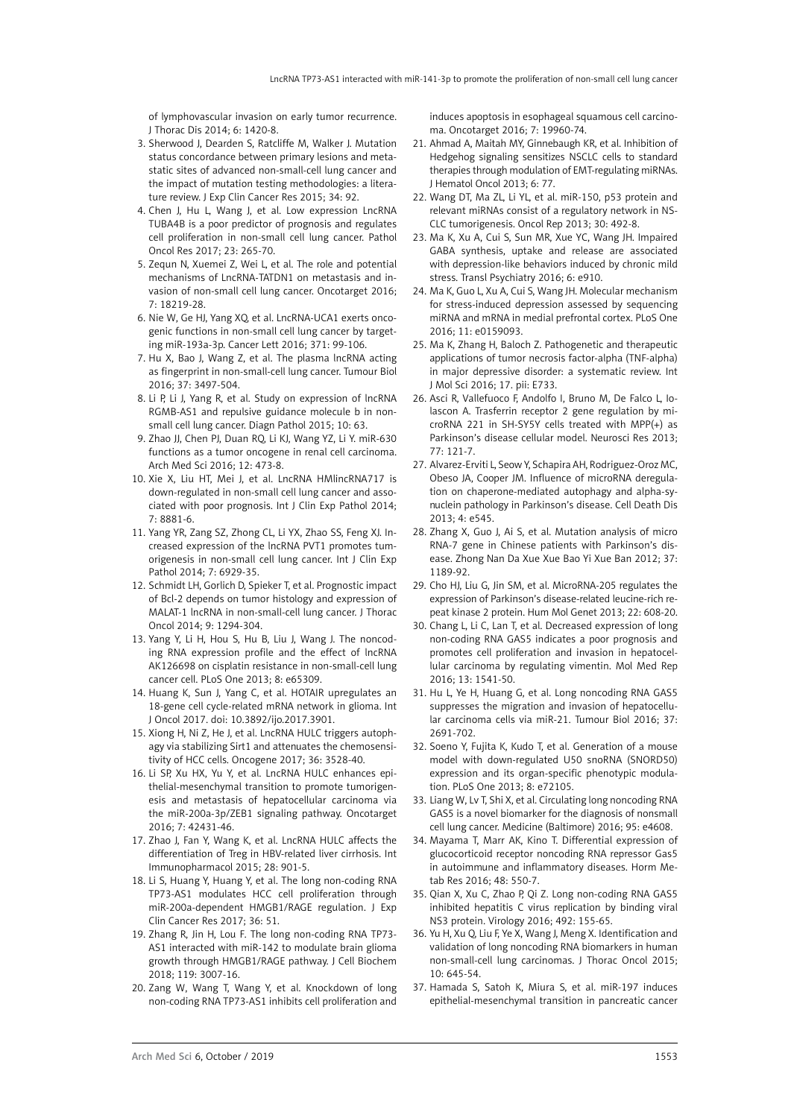of lymphovascular invasion on early tumor recurrence. J Thorac Dis 2014; 6: 1420-8.

- 3. Sherwood J, Dearden S, Ratcliffe M, Walker J. Mutation status concordance between primary lesions and metastatic sites of advanced non-small-cell lung cancer and the impact of mutation testing methodologies: a literature review. J Exp Clin Cancer Res 2015; 34: 92.
- 4. Chen J, Hu L, Wang J, et al. Low expression LncRNA TUBA4B is a poor predictor of prognosis and regulates cell proliferation in non-small cell lung cancer. Pathol Oncol Res 2017; 23: 265-70.
- 5. Zequn N, Xuemei Z, Wei L, et al. The role and potential mechanisms of LncRNA-TATDN1 on metastasis and invasion of non-small cell lung cancer. Oncotarget 2016; 7: 18219-28.
- 6. Nie W, Ge HJ, Yang XQ, et al. LncRNA-UCA1 exerts oncogenic functions in non-small cell lung cancer by targeting miR-193a-3p. Cancer Lett 2016; 371: 99-106.
- 7. Hu X, Bao J, Wang Z, et al. The plasma lncRNA acting as fingerprint in non-small-cell lung cancer. Tumour Biol 2016; 37: 3497-504.
- 8. Li P, Li J, Yang R, et al. Study on expression of lncRNA RGMB-AS1 and repulsive guidance molecule b in nonsmall cell lung cancer. Diagn Pathol 2015; 10: 63.
- 9. Zhao JJ, Chen PJ, Duan RQ, Li KJ, Wang YZ, Li Y. miR-630 functions as a tumor oncogene in renal cell carcinoma. Arch Med Sci 2016; 12: 473-8.
- 10. Xie X, Liu HT, Mei J, et al. LncRNA HMlincRNA717 is down-regulated in non-small cell lung cancer and associated with poor prognosis. Int J Clin Exp Pathol 2014; 7: 8881-6.
- 11. Yang YR, Zang SZ, Zhong CL, Li YX, Zhao SS, Feng XJ. Increased expression of the lncRNA PVT1 promotes tumorigenesis in non-small cell lung cancer. Int J Clin Exp Pathol 2014; 7: 6929-35.
- 12. Schmidt LH, Gorlich D, Spieker T, et al. Prognostic impact of Bcl-2 depends on tumor histology and expression of MALAT-1 lncRNA in non-small-cell lung cancer. J Thorac Oncol 2014; 9: 1294-304.
- 13. Yang Y, Li H, Hou S, Hu B, Liu J, Wang J. The noncoding RNA expression profile and the effect of lncRNA AK126698 on cisplatin resistance in non-small-cell lung cancer cell. PLoS One 2013; 8: e65309.
- 14. Huang K, Sun J, Yang C, et al. HOTAIR upregulates an 18-gene cell cycle-related mRNA network in glioma. Int J Oncol 2017. doi: 10.3892/ijo.2017.3901.
- 15. Xiong H, Ni Z, He J, et al. LncRNA HULC triggers autophagy via stabilizing Sirt1 and attenuates the chemosensitivity of HCC cells. Oncogene 2017; 36: 3528-40.
- 16. Li SP, Xu HX, Yu Y, et al. LncRNA HULC enhances epithelial-mesenchymal transition to promote tumorigenesis and metastasis of hepatocellular carcinoma via the miR-200a-3p/ZEB1 signaling pathway. Oncotarget 2016; 7: 42431-46.
- 17. Zhao J, Fan Y, Wang K, et al. LncRNA HULC affects the differentiation of Treg in HBV-related liver cirrhosis. Int Immunopharmacol 2015; 28: 901-5.
- 18. Li S, Huang Y, Huang Y, et al. The long non-coding RNA TP73-AS1 modulates HCC cell proliferation through miR-200a-dependent HMGB1/RAGE regulation. J Exp Clin Cancer Res 2017; 36: 51.
- 19. Zhang R, Jin H, Lou F. The long non-coding RNA TP73- AS1 interacted with miR-142 to modulate brain glioma growth through HMGB1/RAGE pathway. J Cell Biochem 2018; 119: 3007-16.
- 20. Zang W, Wang T, Wang Y, et al. Knockdown of long non-coding RNA TP73-AS1 inhibits cell proliferation and

induces apoptosis in esophageal squamous cell carcinoma. Oncotarget 2016; 7: 19960-74.

- 21. Ahmad A, Maitah MY, Ginnebaugh KR, et al. Inhibition of Hedgehog signaling sensitizes NSCLC cells to standard therapies through modulation of EMT-regulating miRNAs. J Hematol Oncol 2013; 6: 77.
- 22. Wang DT, Ma ZL, Li YL, et al. miR-150, p53 protein and relevant miRNAs consist of a regulatory network in NS-CLC tumorigenesis. Oncol Rep 2013; 30: 492-8.
- 23. Ma K, Xu A, Cui S, Sun MR, Xue YC, Wang JH. Impaired GABA synthesis, uptake and release are associated with depression-like behaviors induced by chronic mild stress. Transl Psychiatry 2016; 6: e910.
- 24. Ma K, Guo L, Xu A, Cui S, Wang JH. Molecular mechanism for stress-induced depression assessed by sequencing miRNA and mRNA in medial prefrontal cortex. PLoS One 2016; 11: e0159093.
- 25. Ma K, Zhang H, Baloch Z. Pathogenetic and therapeutic applications of tumor necrosis factor-alpha (TNF-alpha) in major depressive disorder: a systematic review. Int J Mol Sci 2016; 17. pii: E733.
- 26. Asci R, Vallefuoco F, Andolfo I, Bruno M, De Falco L, Iolascon A. Trasferrin receptor 2 gene regulation by microRNA 221 in SH-SY5Y cells treated with MPP(+) as Parkinson's disease cellular model. Neurosci Res 2013; 77: 121-7.
- 27. Alvarez-Erviti L, Seow Y, Schapira AH, Rodriguez-Oroz MC, Obeso JA, Cooper JM. Influence of microRNA deregulation on chaperone-mediated autophagy and alpha-synuclein pathology in Parkinson's disease. Cell Death Dis 2013; 4: e545.
- 28. Zhang X, Guo J, Ai S, et al. Mutation analysis of micro RNA-7 gene in Chinese patients with Parkinson's disease. Zhong Nan Da Xue Xue Bao Yi Xue Ban 2012; 37: 1189-92.
- 29. Cho HJ, Liu G, Jin SM, et al. MicroRNA-205 regulates the expression of Parkinson's disease-related leucine-rich repeat kinase 2 protein. Hum Mol Genet 2013; 22: 608-20.
- 30. Chang L, Li C, Lan T, et al. Decreased expression of long non-coding RNA GAS5 indicates a poor prognosis and promotes cell proliferation and invasion in hepatocellular carcinoma by regulating vimentin. Mol Med Rep 2016; 13: 1541-50.
- 31. Hu L, Ye H, Huang G, et al. Long noncoding RNA GAS5 suppresses the migration and invasion of hepatocellular carcinoma cells via miR-21. Tumour Biol 2016; 37: 2691-702.
- 32. Soeno Y, Fujita K, Kudo T, et al. Generation of a mouse model with down-regulated U50 snoRNA (SNORD50) expression and its organ-specific phenotypic modulation. PLoS One 2013; 8: e72105.
- 33. Liang W, Lv T, Shi X, et al. Circulating long noncoding RNA GAS5 is a novel biomarker for the diagnosis of nonsmall cell lung cancer. Medicine (Baltimore) 2016; 95: e4608.
- 34. Mayama T, Marr AK, Kino T. Differential expression of glucocorticoid receptor noncoding RNA repressor Gas5 in autoimmune and inflammatory diseases. Horm Metab Res 2016; 48: 550-7.
- 35. Qian X, Xu C, Zhao P, Qi Z. Long non-coding RNA GAS5 inhibited hepatitis C virus replication by binding viral NS3 protein. Virology 2016; 492: 155-65.
- 36. Yu H, Xu Q, Liu F, Ye X, Wang J, Meng X. Identification and validation of long noncoding RNA biomarkers in human non-small-cell lung carcinomas. J Thorac Oncol 2015; 10: 645-54.
- 37. Hamada S, Satoh K, Miura S, et al. miR-197 induces epithelial-mesenchymal transition in pancreatic cancer